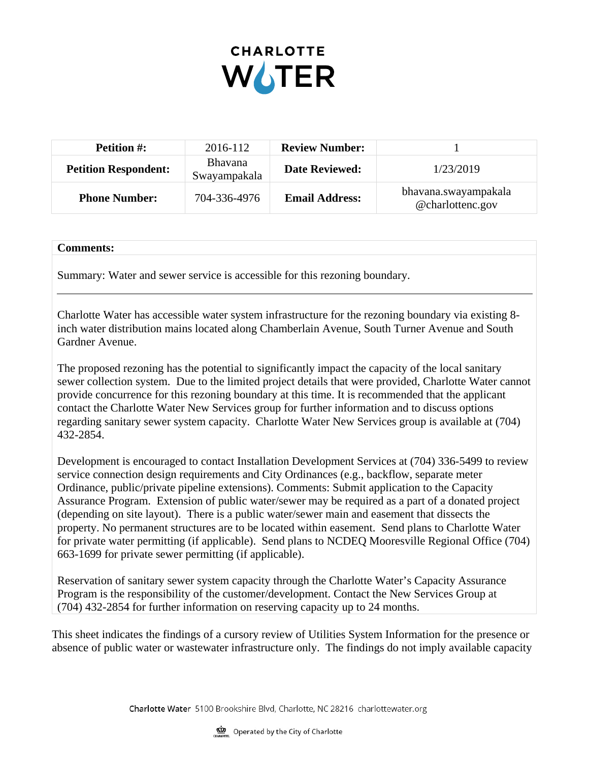

| <b>Petition #:</b>          | 2016-112                       | <b>Review Number:</b> |                                          |
|-----------------------------|--------------------------------|-----------------------|------------------------------------------|
| <b>Petition Respondent:</b> | <b>Bhavana</b><br>Swayampakala | <b>Date Reviewed:</b> | 1/23/2019                                |
| <b>Phone Number:</b>        | 704-336-4976                   | <b>Email Address:</b> | bhavana.swayampakala<br>@charlottenc.gov |

## **Comments:**

Summary: Water and sewer service is accessible for this rezoning boundary.

Charlotte Water has accessible water system infrastructure for the rezoning boundary via existing 8 inch water distribution mains located along Chamberlain Avenue, South Turner Avenue and South Gardner Avenue.

The proposed rezoning has the potential to significantly impact the capacity of the local sanitary sewer collection system. Due to the limited project details that were provided, Charlotte Water cannot provide concurrence for this rezoning boundary at this time. It is recommended that the applicant contact the Charlotte Water New Services group for further information and to discuss options regarding sanitary sewer system capacity. Charlotte Water New Services group is available at (704) 432-2854.

Development is encouraged to contact Installation Development Services at (704) 336-5499 to review service connection design requirements and City Ordinances (e.g., backflow, separate meter Ordinance, public/private pipeline extensions). Comments: Submit application to the Capacity Assurance Program. Extension of public water/sewer may be required as a part of a donated project (depending on site layout). There is a public water/sewer main and easement that dissects the property. No permanent structures are to be located within easement. Send plans to Charlotte Water for private water permitting (if applicable). Send plans to NCDEQ Mooresville Regional Office (704) 663-1699 for private sewer permitting (if applicable).

Reservation of sanitary sewer system capacity through the Charlotte Water's Capacity Assurance Program is the responsibility of the customer/development. Contact the New Services Group at (704) 432-2854 for further information on reserving capacity up to 24 months.

This sheet indicates the findings of a cursory review of Utilities System Information for the presence or absence of public water or wastewater infrastructure only. The findings do not imply available capacity

Charlotte Water 5100 Brookshire Blvd, Charlotte, NC 28216 charlottewater.org